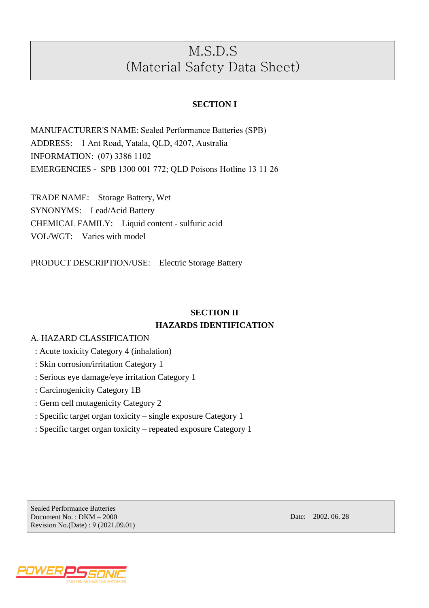## **SECTION I**

MANUFACTURER'S NAME: Sealed Performance Batteries (SPB) ADDRESS: 1 Ant Road, Yatala, QLD, 4207, Australia INFORMATION: (07) 3386 1102 EMERGENCIES - SPB 1300 001 772; QLD Poisons Hotline 13 11 26

TRADE NAME: Storage Battery, Wet SYNONYMS: Lead/Acid Battery CHEMICAL FAMILY: Liquid content - sulfuric acid VOL/WGT: Varies with model

PRODUCT DESCRIPTION/USE: Electric Storage Battery

## **SECTION II**

## **HAZARDS IDENTIFICATION**

## A. HAZARD CLASSIFICATION

: Acute toxicity Category 4 (inhalation)

- : Skin corrosion/irritation Category 1
- : Serious eye damage/eye irritation Category 1
- : Carcinogenicity Category 1B
- : Germ cell mutagenicity Category 2
- : Specific target organ toxicity single exposure Category 1
- : Specific target organ toxicity repeated exposure Category 1

Sealed Performance Batteries Document No. : DKM – 2000 Revision No.(Date) : 9 (2021.09.01)

Date: 2002. 06. 28

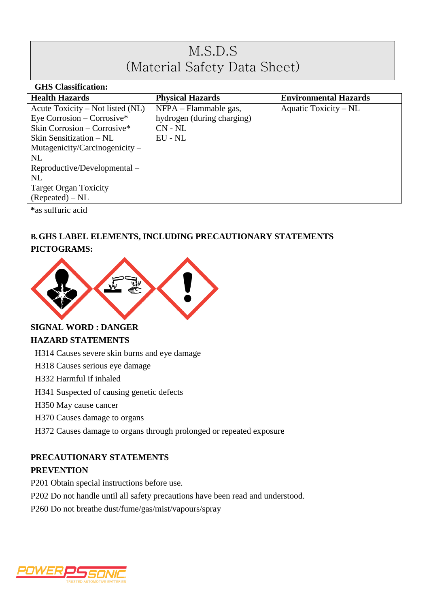| <b>GHS</b> Classification:         |                            |                              |
|------------------------------------|----------------------------|------------------------------|
| <b>Health Hazards</b>              | <b>Physical Hazards</b>    | <b>Environmental Hazards</b> |
| Acute Toxicity – Not listed $(NL)$ | NFPA – Flammable gas,      | Aquatic Toxicity – NL        |
| Eye Corrosion – Corrosive*         | hydrogen (during charging) |                              |
| Skin Corrosion – Corrosive*        | $CN - NL$                  |                              |
| Skin Sensitization – NL            | EU - NL                    |                              |
| Mutagenicity/Carcinogenicity $-$   |                            |                              |
| NL.                                |                            |                              |
| Reproductive/Developmental –       |                            |                              |
| NL.                                |                            |                              |
| <b>Target Organ Toxicity</b>       |                            |                              |
| $(Repeated) - NL$                  |                            |                              |
|                                    |                            |                              |

**\***as sulfuric acid

## **B.GHS LABEL ELEMENTS, INCLUDING PRECAUTIONARY STATEMENTS PICTOGRAMS:**



### **SIGNAL WORD : DANGER**

## **HAZARD STATEMENTS**

- H314 Causes severe skin burns and eye damage
- H318 Causes serious eye damage
- H332 Harmful if inhaled
- H341 Suspected of causing genetic defects
- H350 May cause cancer
- H370 Causes damage to organs
- H372 Causes damage to organs through prolonged or repeated exposure

# **PRECAUTIONARY STATEMENTS**

### **PREVENTION**

- P201 Obtain special instructions before use.
- P202 Do not handle until all safety precautions have been read and understood.
- P260 Do not breathe dust/fume/gas/mist/vapours/spray

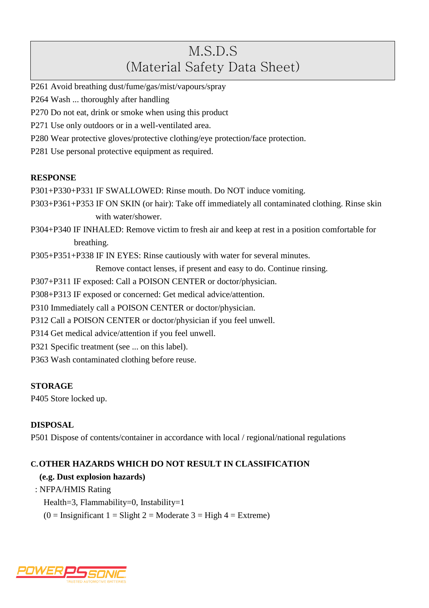- P261 Avoid breathing dust/fume/gas/mist/vapours/spray
- P264 Wash ... thoroughly after handling
- P270 Do not eat, drink or smoke when using this product
- P271 Use only outdoors or in a well-ventilated area.
- P280 Wear protective gloves/protective clothing/eye protection/face protection.
- P281 Use personal protective equipment as required.

### **RESPONSE**

P301+P330+P331 IF SWALLOWED: Rinse mouth. Do NOT induce vomiting.

- P303+P361+P353 IF ON SKIN (or hair): Take off immediately all contaminated clothing. Rinse skin with water/shower.
- P304+P340 IF INHALED: Remove victim to fresh air and keep at rest in a position comfortable for breathing.
- P305+P351+P338 IF IN EYES: Rinse cautiously with water for several minutes.

Remove contact lenses, if present and easy to do. Continue rinsing.

- P307+P311 IF exposed: Call a POISON CENTER or doctor/physician.
- P308+P313 IF exposed or concerned: Get medical advice/attention.
- P310 Immediately call a POISON CENTER or doctor/physician.
- P312 Call a POISON CENTER or doctor/physician if you feel unwell.
- P314 Get medical advice/attention if you feel unwell.
- P321 Specific treatment (see ... on this label).
- P363 Wash contaminated clothing before reuse.

## **STORAGE**

P405 Store locked up.

### **DISPOSAL**

P501 Dispose of contents/container in accordance with local / regional/national regulations

## **C.OTHER HAZARDS WHICH DO NOT RESULT IN CLASSIFICATION**

### **(e.g. Dust explosion hazards)**

### : NFPA/HMIS Rating

Health=3, Flammability=0, Instability=1

 $(0 = \text{Insignificant 1} = \text{Slight 2} = \text{Modern} 3 = \text{High } 4 = \text{Extreme})$ 

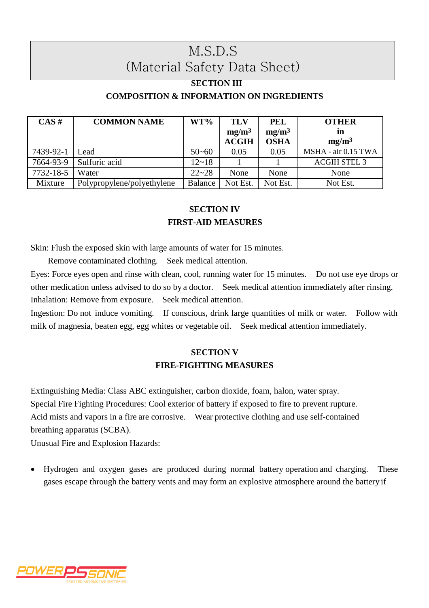#### **SECTION III**

#### **COMPOSITION & INFORMATION ON INGREDIENTS**

| CAS#      | <b>COMMON NAME</b>         | $WT\%$         | <b>TLV</b>                        | <b>PEL</b>                       | <b>OTHER</b>            |
|-----------|----------------------------|----------------|-----------------------------------|----------------------------------|-------------------------|
|           |                            |                | mg/m <sup>3</sup><br><b>ACGIH</b> | mg/m <sup>3</sup><br><b>OSHA</b> | in<br>mg/m <sup>3</sup> |
| 7439-92-1 | Lead                       | $50 - 60$      | 0.05                              | 0.05                             | MSHA - air 0.15 TWA     |
| 7664-93-9 | Sulfuric acid              | $12 - 18$      |                                   |                                  | <b>ACGIH STEL 3</b>     |
| 7732-18-5 | Water                      | $22 - 28$      | None                              | None                             | None                    |
| Mixture   | Polypropylene/polyethylene | <b>Balance</b> | Not Est.                          | Not Est.                         | Not Est.                |

#### **SECTION IV**

### **FIRST-AID MEASURES**

Skin: Flush the exposed skin with large amounts of water for 15 minutes.

Remove contaminated clothing. Seek medical attention.

Eyes: Force eyes open and rinse with clean, cool, running water for 15 minutes. Do not use eye drops or other medication unless advised to do so by a doctor. Seek medical attention immediately after rinsing. Inhalation: Remove from exposure. Seek medical attention.

Ingestion: Do not induce vomiting. If conscious, drink large quantities of milk or water. Follow with milk of magnesia, beaten egg, egg whites or vegetable oil. Seek medical attention immediately.

## **SECTION V FIRE-FIGHTING MEASURES**

Extinguishing Media: Class ABC extinguisher, carbon dioxide, foam, halon, water spray. Special Fire Fighting Procedures: Cool exterior of battery if exposed to fire to prevent rupture. Acid mists and vapors in a fire are corrosive. Wear protective clothing and use self-contained breathing apparatus (SCBA).

Unusual Fire and Explosion Hazards:

 Hydrogen and oxygen gases are produced during normal battery operation and charging. These gases escape through the battery vents and may form an explosive atmosphere around the battery if

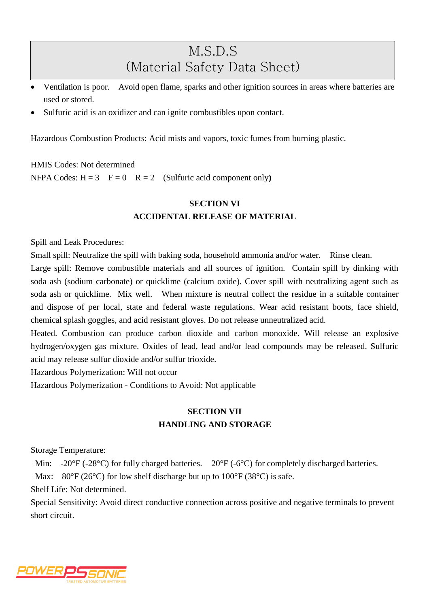- Ventilation is poor. Avoid open flame, sparks and other ignition sources in areas where batteries are used or stored.
- Sulfuric acid is an oxidizer and can ignite combustibles upon contact.

Hazardous Combustion Products: Acid mists and vapors, toxic fumes from burning plastic.

HMIS Codes: Not determined NFPA Codes:  $H = 3$   $F = 0$   $R = 2$  (Sulfuric acid component only)

## **SECTION VI ACCIDENTAL RELEASE OF MATERIAL**

Spill and Leak Procedures:

Small spill: Neutralize the spill with baking soda, household ammonia and/or water. Rinse clean.

Large spill: Remove combustible materials and all sources of ignition. Contain spill by dinking with soda ash (sodium carbonate) or quicklime (calcium oxide). Cover spill with neutralizing agent such as soda ash or quicklime. Mix well. When mixture is neutral collect the residue in a suitable container and dispose of per local, state and federal waste regulations. Wear acid resistant boots, face shield, chemical splash goggles, and acid resistant gloves. Do not release unneutralized acid.

Heated. Combustion can produce carbon dioxide and carbon monoxide. Will release an explosive hydrogen/oxygen gas mixture. Oxides of lead, lead and/or lead compounds may be released. Sulfuric acid may release sulfur dioxide and/or sulfur trioxide.

Hazardous Polymerization: Will not occur

Hazardous Polymerization - Conditions to Avoid: Not applicable

## **SECTION VII HANDLING AND STORAGE**

Storage Temperature:

Min: -20°F (-28°C) for fully charged batteries. 20°F (-6°C) for completely discharged batteries.

Max:  $80^{\circ}F(26^{\circ}C)$  for low shelf discharge but up to  $100^{\circ}F(38^{\circ}C)$  is safe.

Shelf Life: Not determined.

Special Sensitivity: Avoid direct conductive connection across positive and negative terminals to prevent short circuit.

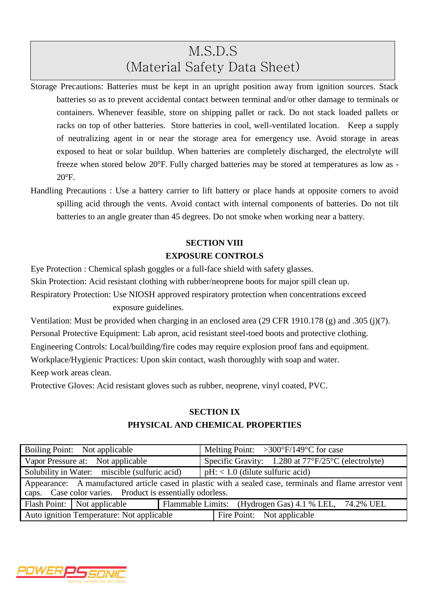- Storage Precautions: Batteries must be kept in an upright position away from ignition sources. Stack batteries so as to prevent accidental contact between terminal and/or other damage to terminals or containers. Whenever feasible, store on shipping pallet or rack. Do not stack loaded pallets or racks on top of other batteries. Store batteries in cool, well-ventilated location. Keep a supply of neutralizing agent in or near the storage area for emergency use. Avoid storage in areas exposed to heat or solar buildup. When batteries are completely discharged, the electrolyte will freeze when stored below 20°F. Fully charged batteries may be stored at temperatures as low as - 20°F.
- Handling Precautions : Use a battery carrier to lift battery or place hands at opposite corners to avoid spilling acid through the vents. Avoid contact with internal components of batteries. Do not tilt batteries to an angle greater than 45 degrees. Do not smoke when working near a battery.

## **SECTION VIII EXPOSURE CONTROLS**

Eye Protection : Chemical splash goggles or a full-face shield with safety glasses. Skin Protection: Acid resistant clothing with rubber/neoprene boots for major spill clean up. Respiratory Protection: Use NIOSH approved respiratory protection when concentrations exceed

exposure guidelines.

Ventilation: Must be provided when charging in an enclosed area (29 CFR 1910.178 (g) and .305 (j)(7). Personal Protective Equipment: Lab apron, acid resistant steel-toed boots and protective clothing. Engineering Controls: Local/building/fire codes may require explosion proof fans and equipment. Workplace/Hygienic Practices: Upon skin contact, wash thoroughly with soap and water. Keep work areas clean.

Protective Gloves: Acid resistant gloves such as rubber, neoprene, vinyl coated, PVC.

## **SECTION IX**

## **PHYSICAL AND CHEMICAL PROPERTIES**

| Boiling Point: Not applicable                                                                                                                                          | Melting Point: $>300^{\circ}F/149^{\circ}C$ for case  |  |  |
|------------------------------------------------------------------------------------------------------------------------------------------------------------------------|-------------------------------------------------------|--|--|
| Specific Gravity: 1.280 at 77°F/25°C (electrolyte)<br>Vapor Pressure at: Not applicable                                                                                |                                                       |  |  |
| Solubility in Water: miscible (sulfuric acid)<br>$pH:$ < 1.0 (dilute sulfuric acid)                                                                                    |                                                       |  |  |
| Appearance: A manufactured article cased in plastic with a sealed case, terminals and flame arrestor vent<br>caps. Case color varies. Product is essentially odorless. |                                                       |  |  |
| Flash Point: Not applicable                                                                                                                                            | Flammable Limits: (Hydrogen Gas) 4.1 % LEL, 74.2% UEL |  |  |
| Auto ignition Temperature: Not applicable<br>Fire Point: Not applicable                                                                                                |                                                       |  |  |

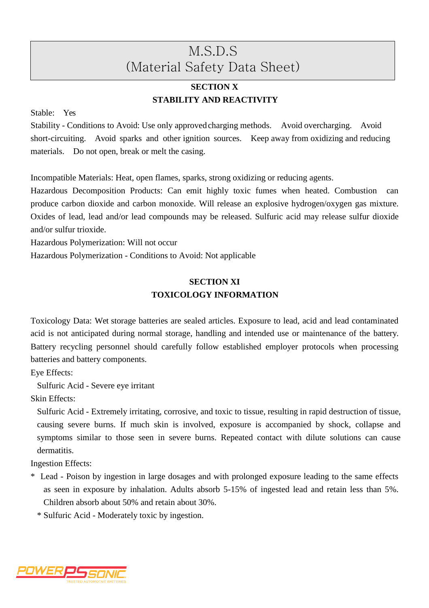## **SECTION X STABILITY AND REACTIVITY**

Stable: Yes

Stability - Conditions to Avoid: Use only approved charging methods. Avoid overcharging. Avoid short-circuiting. Avoid sparks and other ignition sources. Keep away from oxidizing and reducing materials. Do not open, break or melt the casing.

Incompatible Materials: Heat, open flames, sparks, strong oxidizing or reducing agents.

Hazardous Decomposition Products: Can emit highly toxic fumes when heated. Combustion can produce carbon dioxide and carbon monoxide. Will release an explosive hydrogen/oxygen gas mixture. Oxides of lead, lead and/or lead compounds may be released. Sulfuric acid may release sulfur dioxide and/or sulfur trioxide.

Hazardous Polymerization: Will not occur

Hazardous Polymerization - Conditions to Avoid: Not applicable

## **SECTION XI TOXICOLOGY INFORMATION**

Toxicology Data: Wet storage batteries are sealed articles. Exposure to lead, acid and lead contaminated acid is not anticipated during normal storage, handling and intended use or maintenance of the battery. Battery recycling personnel should carefully follow established employer protocols when processing batteries and battery components.

Eye Effects:

Sulfuric Acid - Severe eye irritant

Skin Effects:

Sulfuric Acid - Extremely irritating, corrosive, and toxic to tissue, resulting in rapid destruction of tissue, causing severe burns. If much skin is involved, exposure is accompanied by shock, collapse and symptoms similar to those seen in severe burns. Repeated contact with dilute solutions can cause dermatitis.

Ingestion Effects:

- \* Lead Poison by ingestion in large dosages and with prolonged exposure leading to the same effects as seen in exposure by inhalation. Adults absorb 5-15% of ingested lead and retain less than 5%. Children absorb about 50% and retain about 30%.
	- \* Sulfuric Acid Moderately toxic by ingestion.

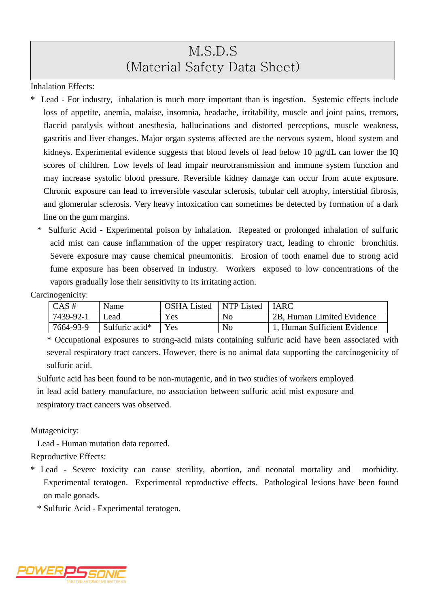Inhalation Effects:

- Lead For industry, inhalation is much more important than is ingestion. Systemic effects include loss of appetite, anemia, malaise, insomnia, headache, irritability, muscle and joint pains, tremors, flaccid paralysis without anesthesia, hallucinations and distorted perceptions, muscle weakness, gastritis and liver changes. Major organ systems affected are the nervous system, blood system and kidneys. Experimental evidence suggests that blood levels of lead below 10  $\mu$ g/dL can lower the IQ scores of children. Low levels of lead impair neurotransmission and immune system function and may increase systolic blood pressure. Reversible kidney damage can occur from acute exposure. Chronic exposure can lead to irreversible vascular sclerosis, tubular cell atrophy, interstitial fibrosis, and glomerular sclerosis. Very heavy intoxication can sometimes be detected by formation of a dark line on the gum margins.
	- Sulfuric Acid Experimental poison by inhalation. Repeated or prolonged inhalation of sulfuric acid mist can cause inflammation of the upper respiratory tract, leading to chronic bronchitis. Severe exposure may cause chemical pneumonitis. Erosion of tooth enamel due to strong acid fume exposure has been observed in industry. Workers exposed to low concentrations of the vapors gradually lose their sensitivity to its irritating action.

Carcinogenicity:

| $CAS \#$  | Name           | <b>OSHA Listed</b> | NTP Listed     | <b>IARC</b>                  |
|-----------|----------------|--------------------|----------------|------------------------------|
| 7439-92-1 | Lead           | Yes                | N <sub>0</sub> | 2B, Human Limited Evidence   |
| 7664-93-9 | Sulfuric acid* | Yes                | N <sub>o</sub> | 1, Human Sufficient Evidence |

\* Occupational exposures to strong-acid mists containing sulfuric acid have been associated with several respiratory tract cancers. However, there is no animal data supporting the carcinogenicity of sulfuric acid.

Sulfuric acid has been found to be non-mutagenic, and in two studies of workers employed in lead acid battery manufacture, no association between sulfuric acid mist exposure and respiratory tract cancers was observed.

Mutagenicity:

Lead - Human mutation data reported.

Reproductive Effects:

\* Lead - Severe toxicity can cause sterility, abortion, and neonatal mortality and morbidity. Experimental teratogen. Experimental reproductive effects. Pathological lesions have been found on male gonads.

\* Sulfuric Acid - Experimental teratogen.

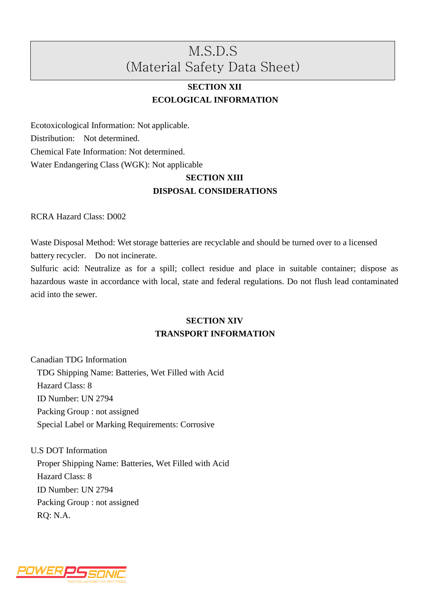## **SECTION XII ECOLOGICAL INFORMATION**

Ecotoxicological Information: Not applicable. Distribution: Not determined. Chemical Fate Information: Not determined. Water Endangering Class (WGK): Not applicable

## **SECTION XIII DISPOSAL CONSIDERATIONS**

RCRA Hazard Class: D002

Waste Disposal Method: Wet storage batteries are recyclable and should be turned over to a licensed battery recycler. Do not incinerate.

Sulfuric acid: Neutralize as for a spill; collect residue and place in suitable container; dispose as hazardous waste in accordance with local, state and federal regulations. Do not flush lead contaminated acid into the sewer.

## **SECTION XIV TRANSPORT INFORMATION**

Canadian TDG Information TDG Shipping Name: Batteries, Wet Filled with Acid Hazard Class: 8 ID Number: UN 2794 Packing Group : not assigned Special Label or Marking Requirements: Corrosive

U.S DOT Information Proper Shipping Name: Batteries, Wet Filled with Acid Hazard Class: 8 ID Number: UN 2794 Packing Group : not assigned RQ: N.A.

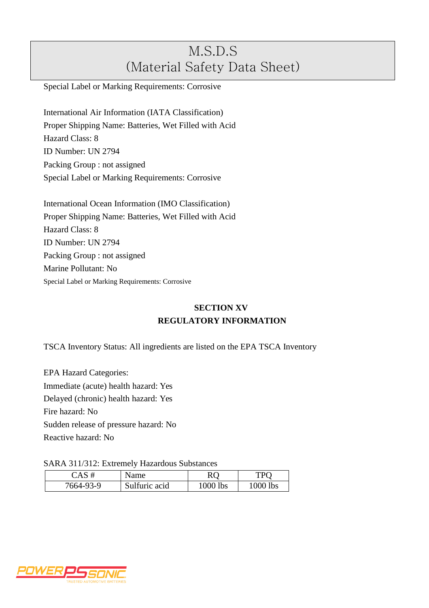Special Label or Marking Requirements: Corrosive

International Air Information (IATA Classification) Proper Shipping Name: Batteries, Wet Filled with Acid Hazard Class: 8 ID Number: UN 2794 Packing Group : not assigned Special Label or Marking Requirements: Corrosive

International Ocean Information (IMO Classification) Proper Shipping Name: Batteries, Wet Filled with Acid Hazard Class: 8 ID Number: UN 2794 Packing Group : not assigned Marine Pollutant: No Special Label or Marking Requirements: Corrosive

## **SECTION XV REGULATORY INFORMATION**

TSCA Inventory Status: All ingredients are listed on the EPA TSCA Inventory

EPA Hazard Categories: Immediate (acute) health hazard: Yes Delayed (chronic) health hazard: Yes Fire hazard: No Sudden release of pressure hazard: No Reactive hazard: No

SARA 311/312: Extremely Hazardous Substances

| CAS #     | Name          |          | TDC      |
|-----------|---------------|----------|----------|
| 7664-93-9 | Sulfuric acid | 1000 lbs | 1000 lbs |

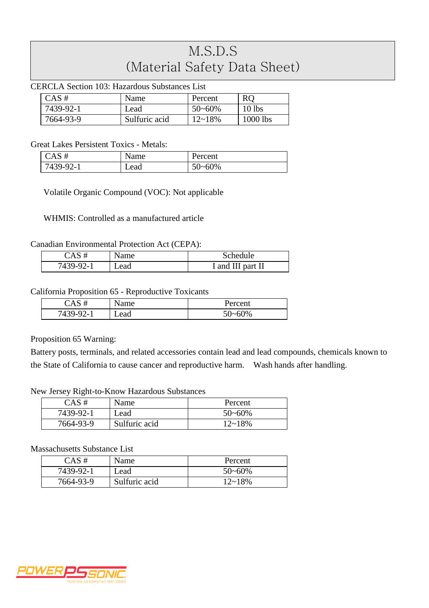### CERCLA Section 103: Hazardous Substances List

| $CAS \#$  | Name          | Percent    | <b>RO</b>  |
|-----------|---------------|------------|------------|
| 7439-92-1 | Lead          | $50 - 60%$ | $10$ lbs   |
| 7664-93-9 | Sulfuric acid | $12 - 18%$ | $1000$ lbs |

#### Great Lakes Persistent Toxics - Metals:

| $\angle$ AS# | Name | Percent    |
|--------------|------|------------|
| 7439-92-1    | Lead | $50 - 60%$ |

Volatile Organic Compound (VOC): Not applicable

### WHMIS: Controlled as a manufactured article

#### Canadian Environmental Protection Act (CEPA):

| CAS#      | Name | Schedule          |
|-----------|------|-------------------|
| 7439-92-1 | Lead | I and III part II |

#### California Proposition 65 - Reproductive Toxicants

| $\mathbb{C}\mathrm{AS}$ | Name | Percent |
|-------------------------|------|---------|
| 7439-92-<br>$7 - 1$     | Lead | 50~60%  |

### Proposition 65 Warning:

Battery posts, terminals, and related accessories contain lead and lead compounds, chemicals known to the State of California to cause cancer and reproductive harm. Wash hands after handling.

### New Jersey Right-to-Know Hazardous Substances

| $CAS \#$  | <b>Name</b>   | Percent     |
|-----------|---------------|-------------|
| 7439-92-1 | Lead          | $50 - 60\%$ |
| 7664-93-9 | Sulfuric acid | $12 - 18%$  |

#### Massachusetts Substance List

| CAS#      | Name          | Percent        |
|-----------|---------------|----------------|
| 7439-92-1 | Lead          | $50 - 60%$     |
| 7664-93-9 | Sulfuric acid | $12 \sim 18\%$ |

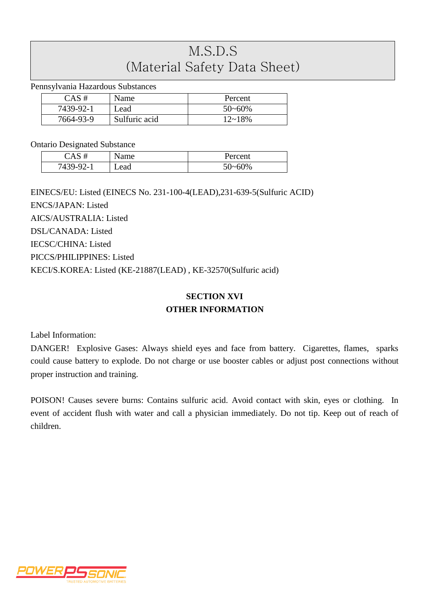Pennsylvania Hazardous Substances

| CAS#      | Name          | Percent     |
|-----------|---------------|-------------|
| 7439-92-1 | Lead          | $50 - 60%$  |
| 7664-93-9 | Sulfuric acid | $12 - 18\%$ |

Ontario Designated Substance

| $\bigcirc$ AS # | Name | Percent    |
|-----------------|------|------------|
| 7439-92-1       | Lead | $50 - 60%$ |

EINECS/EU: Listed (EINECS No. 231-100-4(LEAD),231-639-5(Sulfuric ACID) ENCS/JAPAN: Listed AICS/AUSTRALIA: Listed DSL/CANADA: Listed IECSC/CHINA: Listed PICCS/PHILIPPINES: Listed KECI/S.KOREA: Listed (KE-21887(LEAD) , KE-32570(Sulfuric acid)

## **SECTION XVI OTHER INFORMATION**

Label Information:

DANGER! Explosive Gases: Always shield eyes and face from battery. Cigarettes, flames, sparks could cause battery to explode. Do not charge or use booster cables or adjust post connections without proper instruction and training.

POISON! Causes severe burns: Contains sulfuric acid. Avoid contact with skin, eyes or clothing. In event of accident flush with water and call a physician immediately. Do not tip. Keep out of reach of children.